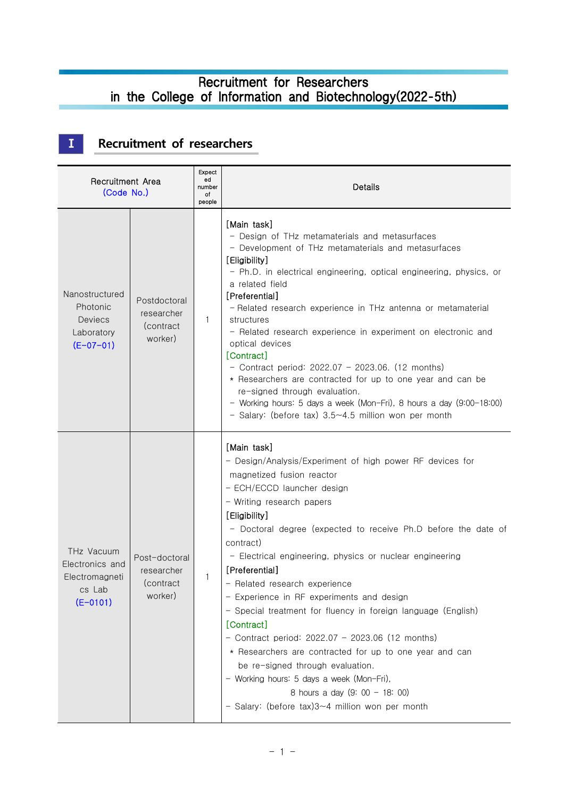## Recruitment for Researchers in the College of Information and Biotechnology(2022-5th)

# **Ⅰ Recruitment of researchers**

| Recruitment Area<br>(Code No.)                                            |                                                     | Expect<br>ed<br>number<br>оf<br>people | Details                                                                                                                                                                                                                                                                                                                                                                                                                                                                                                                                                                                                                                                                                                                                                                                            |
|---------------------------------------------------------------------------|-----------------------------------------------------|----------------------------------------|----------------------------------------------------------------------------------------------------------------------------------------------------------------------------------------------------------------------------------------------------------------------------------------------------------------------------------------------------------------------------------------------------------------------------------------------------------------------------------------------------------------------------------------------------------------------------------------------------------------------------------------------------------------------------------------------------------------------------------------------------------------------------------------------------|
| Nanostructured<br>Photonic<br><b>Deviecs</b><br>Laboratory<br>$(E-07-01)$ | Postdoctoral<br>researcher<br>(contract)<br>worker) | 1                                      | [Main task]<br>- Design of THz metamaterials and metasurfaces<br>- Development of THz metamaterials and metasurfaces<br>[Eligibility]<br>- Ph.D. in electrical engineering, optical engineering, physics, or<br>a related field<br>[Preferential]<br>- Related research experience in THz antenna or metamaterial<br>structures<br>- Related research experience in experiment on electronic and<br>optical devices<br>[Contract]<br>- Contract period: $2022.07 - 2023.06$ . (12 months)<br>* Researchers are contracted for up to one year and can be<br>re-signed through evaluation.<br>- Working hours: 5 days a week (Mon-Fri), 8 hours a day (9:00-18:00)<br>- Salary: (before tax) $3.5 \sim 4.5$ million won per month                                                                    |
| THz Vacuum<br>Electronics and<br>Electromagneti<br>cs Lab<br>$(E-0101)$   | Post-doctoral<br>researcher<br>(contract<br>worker) | 1                                      | [Main task]<br>- Design/Analysis/Experiment of high power RF devices for<br>magnetized fusion reactor<br>- ECH/ECCD launcher design<br>- Writing research papers<br>[Eligibility]<br>- Doctoral degree (expected to receive Ph.D before the date of<br>contract)<br>- Electrical engineering, physics or nuclear engineering<br>[Preferential]<br>- Related research experience<br>- Experience in RF experiments and design<br>- Special treatment for fluency in foreign language (English)<br>[Contract]<br>- Contract period: $2022.07 - 2023.06$ (12 months)<br>* Researchers are contracted for up to one year and can<br>be re-signed through evaluation.<br>- Working hours: 5 days a week (Mon-Fri),<br>8 hours a day (9: 00 - 18: 00)<br>- Salary: (before tax)3~4 million won per month |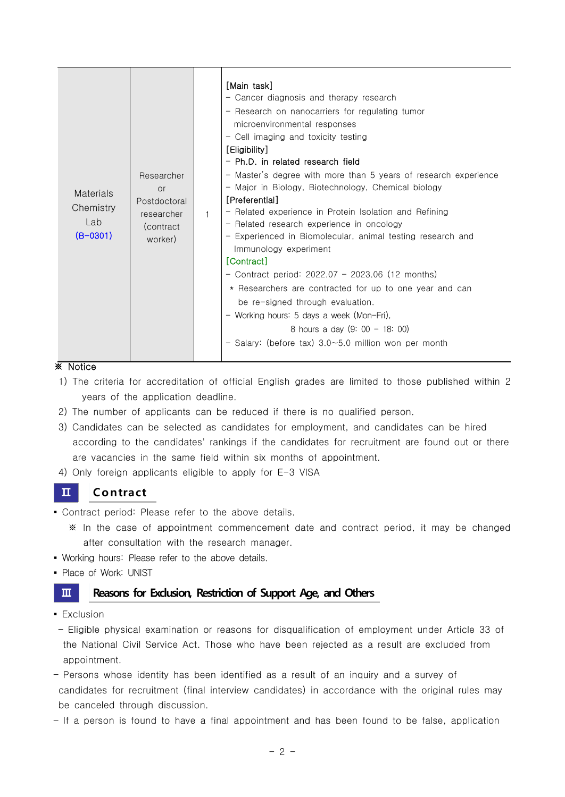| <b>Materials</b><br>Chemistry<br>l ab<br>$(B-0301)$ | Researcher<br><b>or</b><br>Postdoctoral<br>researcher<br>(contract)<br>worker) | $\mathbf{1}$ | [Main task]<br>- Cancer diagnosis and therapy research<br>- Research on nanocarriers for regulating tumor<br>microenvironmental responses<br>- Cell imaging and toxicity testing<br>[Eligibility]<br>- Ph.D. in related research field<br>- Master's degree with more than 5 years of research experience<br>- Major in Biology, Biotechnology, Chemical biology<br>[Preferential]<br>- Related experience in Protein Isolation and Refining<br>- Related research experience in oncology<br>- Experienced in Biomolecular, animal testing research and<br>Immunology experiment<br>[Contract]<br>- Contract period: $2022.07 - 2023.06$ (12 months)<br>* Researchers are contracted for up to one year and can<br>be re-signed through evaluation.<br>- Working hours: 5 days a week (Mon-Fri),<br>8 hours a day $(9: 00 - 18: 00)$<br>- Salary: (before tax) 3.0~5.0 million won per month |
|-----------------------------------------------------|--------------------------------------------------------------------------------|--------------|----------------------------------------------------------------------------------------------------------------------------------------------------------------------------------------------------------------------------------------------------------------------------------------------------------------------------------------------------------------------------------------------------------------------------------------------------------------------------------------------------------------------------------------------------------------------------------------------------------------------------------------------------------------------------------------------------------------------------------------------------------------------------------------------------------------------------------------------------------------------------------------------|
|-----------------------------------------------------|--------------------------------------------------------------------------------|--------------|----------------------------------------------------------------------------------------------------------------------------------------------------------------------------------------------------------------------------------------------------------------------------------------------------------------------------------------------------------------------------------------------------------------------------------------------------------------------------------------------------------------------------------------------------------------------------------------------------------------------------------------------------------------------------------------------------------------------------------------------------------------------------------------------------------------------------------------------------------------------------------------------|

### ※ Notice

- 1) The criteria for accreditation of official English grades are limited to those published within 2 years of the application deadline.
- 2) The number of applicants can be reduced if there is no qualified person.
- 3) Candidates can be selected as candidates for employment, and candidates can be hired according to the candidates' rankings if the candidates for recruitment are found out or there are vacancies in the same field within six months of appointment. **a** Candidates can be selected as<br>according to the candidates' r<br>are vacancies in the same fiel<br>**1** Only foreign applicants eligible<br>**11** Contract<br>Contract period: Please refer to
- 4) Only foreign applicants eligible to apply for E-3 VISA

- Contract period: Please refer to the above details.
	- ※ In the case of appointment commencement date and contract period, it may be changed after consultation with the research manager.
- Working hours: Please refer to the above details.
- Place of Work: UNIST

### **III Reasons for Exclusion, Restriction of Support Age, and Others**

- **Exclusion**
- Eligible physical examination or reasons for disqualification of employment under Article 33 of the National Civil Service Act. Those who have been rejected as a result are excluded from appointment.
- Persons whose identity has been identified as a result of an inquiry and a survey of candidates for recruitment (final interview candidates) in accordance with the original rules may be canceled through discussion.
- If a person is found to have a final appointment and has been found to be false, application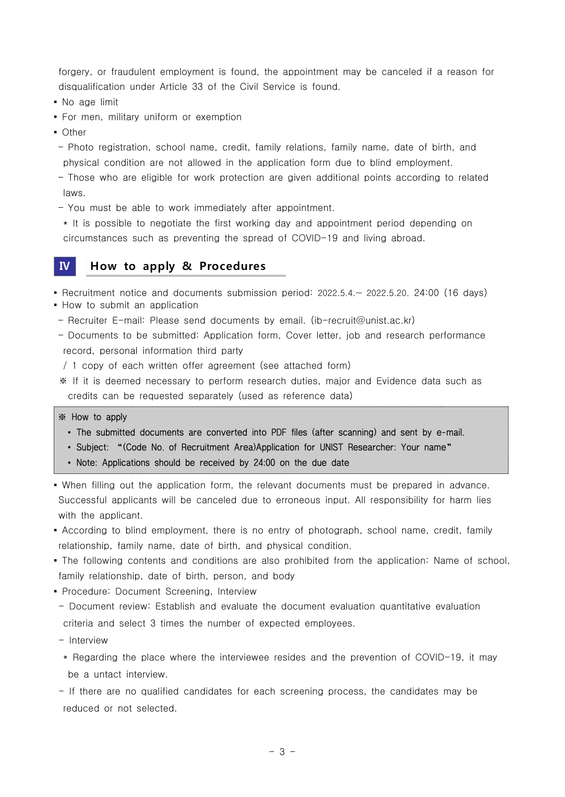forgery, or fraudulent employment is found, the appointment may be canceled if a reason for disqualification under Article 33 of the Civil Service is found.

- No age limit
- **For men, military uniform or exemption**
- Other
- Photo registration, school name, credit, family relations, family name, date of birth, and physical condition are not allowed in the application form due to blind employment.
- Those who are eligible for work protection are given additional points according to related laws.
- You must be able to work immediately after appointment.

 \* It is possible to negotiate the first working day and appointment period depending on circumstances such as preventing the spread of COVID-19 and living abroad.

### **Ⅳ How to apply & Procedures**

▪ Recruitment notice and documents submission period: 2022.5.4.~ 2022.5.20. 24:00 (16 days)

- How to submit an application
- Recruiter E-mail: Please send documents by email. (ib-recruit@unist.ac.kr)
- Documents to be submitted: Application form, Cover letter, job and research performance record, personal information third party
- / 1 copy of each written offer agreement (see attached form)
- ※ If it is deemed necessary to perform research duties, major and Evidence data such as credits can be requested separately (used as reference data)

- ※ How to apply ∙ The submitted documents are converted into PDF files (after scanning) and sent by e-mail. ∙ Subject: "(Code No. of Recruitment Area)Application for UNIST Researcher: Your name"
	-
	- <sup>∙</sup>Note: Applications should be received by 24:00 on the due date
- When filling out the application form, the relevant documents must be prepared in advance. Successful applicants will be canceled due to erroneous input. All responsibility for harm lies with the applicant.
- According to blind employment, there is no entry of photograph, school name, credit, family relationship, family name, date of birth, and physical condition.
- The following contents and conditions are also prohibited from the application: Name of school, family relationship, date of birth, person, and body<br>• Procedure: Document Screening, Interview
- 
- Document review: Establish and evaluate the document evaluation quantitative evaluation criteria and select 3 times the number of expected employees.
- Interview
- \* Regarding the place where the interviewee resides and the prevention of COVID-19, it may be a untact interview.
- If there are no qualified candidates for each screening process, the candidates may be reduced or not selected.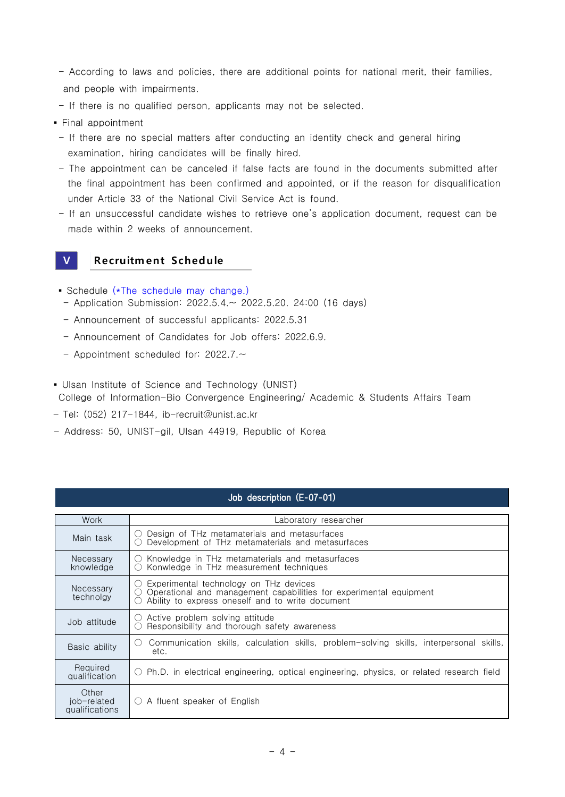- According to laws and policies, there are additional points for national merit, their families, and people with impairments.
- If there is no qualified person, applicants may not be selected.
- Final appointment
	- If there are no special matters after conducting an identity check and general hiring examination, hiring candidates will be finally hired.
	- The appointment can be canceled if false facts are found in the documents submitted after the final appointment has been confirmed and appointed, or if the reason for disqualification
- Under Article 33 of the National Civil Service Act is found.<br>
− If an unsuccessful candidate wishes to retrieve one's application document, request can be made within 2 weeks of announcement.<br>
 **Propertion of the Schedul** made within 2 weeks of announcement.

- **Schedule (\*The schedule may change.)**
- Application Submission: 2022.5.4.~ 2022.5.20. 24:00 (16 days)
- Announcement of successful applicants: 2022.5.31
- Announcement of Candidates for Job offers: 2022.6.9.
- Appointment scheduled for: 2022.7.~
- Ulsan Institute of Science and Technology (UNIST) College of Information-Bio Convergence Engineering/ Academic & Students Affairs Team
- Tel: (052) 217-1844, ib-recruit@unist.ac.kr
- Address: 50, UNIST-gil, Ulsan 44919, Republic of Korea

### Job description (E-07-01)

| Work                                   | Laboratory researcher                                                                                                                                                                         |  |  |  |
|----------------------------------------|-----------------------------------------------------------------------------------------------------------------------------------------------------------------------------------------------|--|--|--|
| Main task                              | Design of THz metamaterials and metasurfaces<br>( )<br>Development of THz metamaterials and metasurfaces                                                                                      |  |  |  |
| Necessary<br>knowledge                 | $\circ$ Knowledge in THz metamaterials and metasurfaces<br>Konwledge in THz measurement techniques<br>( )                                                                                     |  |  |  |
| Necessarv<br>technolgy                 | $\circlearrowright$ Experimental technology on THz devices<br>Operational and management capabilities for experimental equipment<br>$($ )<br>Ability to express oneself and to write document |  |  |  |
| Job attitude                           | $\circ$ Active problem solving attitude<br>Responsibility and thorough safety awareness                                                                                                       |  |  |  |
| Basic ability                          | Communication skills, calculation skills, problem-solving skills, interpersonal skills,<br>( )<br>etc.                                                                                        |  |  |  |
| Required<br>qualification              | ○ Ph.D. in electrical engineering, optical engineering, physics, or related research field                                                                                                    |  |  |  |
| Other<br>job-related<br>qualifications | $\bigcirc$ A fluent speaker of English                                                                                                                                                        |  |  |  |